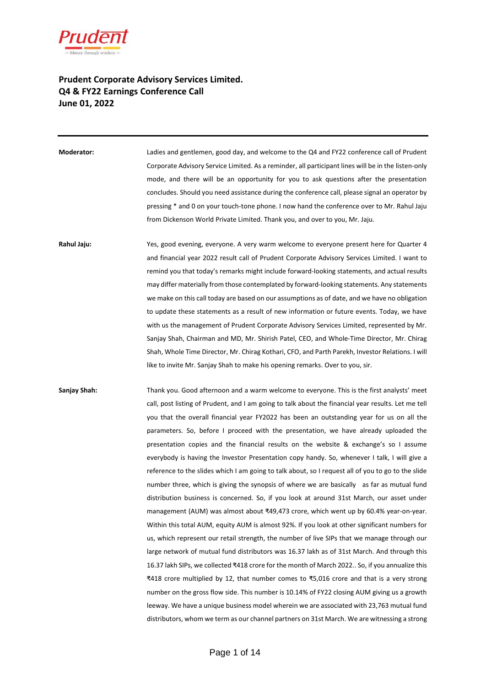

## **Prudent Corporate Advisory Services Limited. Q4 & FY22 Earnings Conference Call June 01, 2022**

**Moderator:** Ladies and gentlemen, good day, and welcome to the Q4 and FY22 conference call of Prudent Corporate Advisory Service Limited. As a reminder, all participant lines will be in the listen-only mode, and there will be an opportunity for you to ask questions after the presentation concludes. Should you need assistance during the conference call, please signal an operator by pressing \* and 0 on your touch-tone phone. I now hand the conference over to Mr. Rahul Jaju from Dickenson World Private Limited. Thank you, and over to you, Mr. Jaju.

**Rahul Jaju:** Yes, good evening, everyone. A very warm welcome to everyone present here for Quarter 4 and financial year 2022 result call of Prudent Corporate Advisory Services Limited. I want to remind you that today's remarks might include forward-looking statements, and actual results may differ materially from those contemplated by forward-looking statements. Any statements we make on this call today are based on our assumptions as of date, and we have no obligation to update these statements as a result of new information or future events. Today, we have with us the management of Prudent Corporate Advisory Services Limited, represented by Mr. Sanjay Shah, Chairman and MD, Mr. Shirish Patel, CEO, and Whole-Time Director, Mr. Chirag Shah, Whole Time Director, Mr. Chirag Kothari, CFO, and Parth Parekh, Investor Relations. I will like to invite Mr. Sanjay Shah to make his opening remarks. Over to you, sir.

**Sanjay Shah:** Thank you. Good afternoon and a warm welcome to everyone. This is the first analysts' meet call, post listing of Prudent, and I am going to talk about the financial year results. Let me tell you that the overall financial year FY2022 has been an outstanding year for us on all the parameters. So, before I proceed with the presentation, we have already uploaded the presentation copies and the financial results on the website & exchange's so I assume everybody is having the Investor Presentation copy handy. So, whenever I talk, I will give a reference to the slides which I am going to talk about, so I request all of you to go to the slide number three, which is giving the synopsis of where we are basically as far as mutual fund distribution business is concerned. So, if you look at around 31st March, our asset under management (AUM) was almost about ₹49,473 crore, which went up by 60.4% year-on-year. Within this total AUM, equity AUM is almost 92%. If you look at other significant numbers for us, which represent our retail strength, the number of live SIPs that we manage through our large network of mutual fund distributors was 16.37 lakh as of 31st March. And through this 16.37 lakh SIPs, we collected ₹418 crore for the month of March 2022.. So, if you annualize this ₹418 crore multiplied by 12, that number comes to ₹5,016 crore and that is a very strong number on the gross flow side. This number is 10.14% of FY22 closing AUM giving us a growth leeway. We have a unique business model wherein we are associated with 23,763 mutual fund distributors, whom we term as our channel partners on 31st March. We are witnessing a strong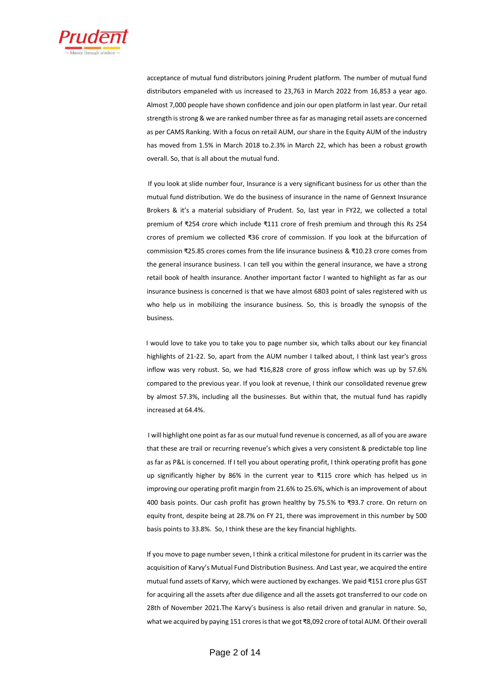

acceptance of mutual fund distributors joining Prudent platform. The number of mutual fund distributors empaneled with us increased to 23,763 in March 2022 from 16,853 a year ago. Almost 7,000 people have shown confidence and join our open platform in last year. Our retail strength is strong & we are ranked number three as far as managing retail assets are concerned as per CAMS Ranking. With a focus on retail AUM, our share in the Equity AUM of the industry has moved from 1.5% in March 2018 to.2.3% in March 22, which has been a robust growth overall. So, that is all about the mutual fund.

If you look at slide number four, Insurance is a very significant business for us other than the mutual fund distribution. We do the business of insurance in the name of Gennext Insurance Brokers & it's a material subsidiary of Prudent. So, last year in FY22, we collected a total premium of ₹254 crore which include ₹111 crore of fresh premium and through this Rs 254 crores of premium we collected ₹36 crore of commission. If you look at the bifurcation of commission ₹25.85 crores comes from the life insurance business & ₹10.23 crore comes from the general insurance business. I can tell you within the general insurance, we have a strong retail book of health insurance. Another important factor I wanted to highlight as far as our insurance business is concerned is that we have almost 6803 point of sales registered with us who help us in mobilizing the insurance business. So, this is broadly the synopsis of the business.

 I would love to take you to take you to page number six, which talks about our key financial highlights of 21-22. So, apart from the AUM number I talked about, I think last year's gross inflow was very robust. So, we had ₹16,828 crore of gross inflow which was up by 57.6% compared to the previous year. If you look at revenue, I think our consolidated revenue grew by almost 57.3%, including all the businesses. But within that, the mutual fund has rapidly increased at 64.4%.

 I will highlight one point as far as our mutual fund revenue is concerned, as all of you are aware that these are trail or recurring revenue's which gives a very consistent & predictable top line as far as P&L is concerned. If I tell you about operating profit, I think operating profit has gone up significantly higher by 86% in the current year to ₹115 crore which has helped us in improving our operating profit margin from 21.6% to 25.6%, which is an improvement of about 400 basis points. Our cash profit has grown healthy by 75.5% to ₹93.7 crore. On return on equity front, despite being at 28.7% on FY 21, there was improvement in this number by 500 basis points to 33.8%. So, I think these are the key financial highlights.

If you move to page number seven, I think a critical milestone for prudent in its carrier was the acquisition of Karvy's Mutual Fund Distribution Business. And Last year, we acquired the entire mutual fund assets of Karvy, which were auctioned by exchanges. We paid ₹151 crore plus GST for acquiring all the assets after due diligence and all the assets got transferred to our code on 28th of November 2021.The Karvy's business is also retail driven and granular in nature. So, what we acquired by paying 151 crores is that we got ₹8,092 crore of total AUM. Of their overall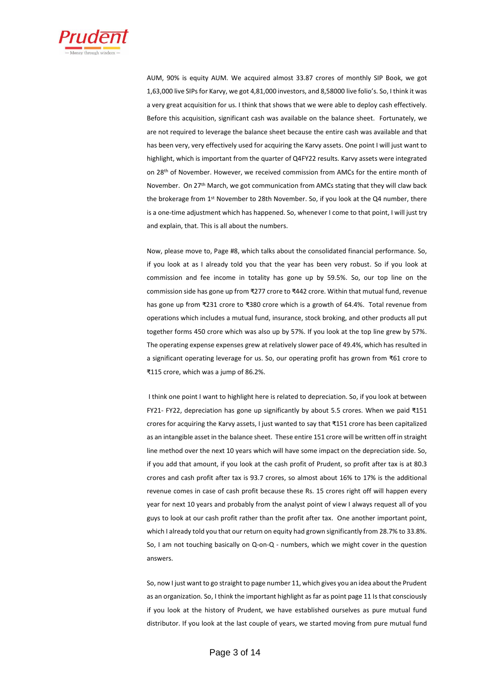

AUM, 90% is equity AUM. We acquired almost 33.87 crores of monthly SIP Book, we got 1,63,000 live SIPs for Karvy, we got 4,81,000 investors, and 8,58000 live folio's. So, I think it was a very great acquisition for us. I think that shows that we were able to deploy cash effectively. Before this acquisition, significant cash was available on the balance sheet. Fortunately, we are not required to leverage the balance sheet because the entire cash was available and that has been very, very effectively used for acquiring the Karvy assets. One point I will just want to highlight, which is important from the quarter of Q4FY22 results. Karvy assets were integrated on 28<sup>th</sup> of November. However, we received commission from AMCs for the entire month of November. On 27th March, we got communication from AMCs stating that they will claw back the brokerage from 1<sup>st</sup> November to 28th November. So, if you look at the Q4 number, there is a one-time adjustment which has happened. So, whenever I come to that point, I will just try and explain, that. This is all about the numbers.

Now, please move to, Page #8, which talks about the consolidated financial performance. So, if you look at as I already told you that the year has been very robust. So if you look at commission and fee income in totality has gone up by 59.5%. So, our top line on the commission side has gone up from ₹277 crore to ₹442 crore. Within that mutual fund, revenue has gone up from ₹231 crore to ₹380 crore which is a growth of 64.4%. Total revenue from operations which includes a mutual fund, insurance, stock broking, and other products all put together forms 450 crore which was also up by 57%. If you look at the top line grew by 57%. The operating expense expenses grew at relatively slower pace of 49.4%, which has resulted in a significant operating leverage for us. So, our operating profit has grown from ₹61 crore to ₹115 crore, which was a jump of 86.2%.

I think one point I want to highlight here is related to depreciation. So, if you look at between FY21- FY22, depreciation has gone up significantly by about 5.5 crores. When we paid ₹151 crores for acquiring the Karvy assets, I just wanted to say that ₹151 crore has been capitalized as an intangible asset in the balance sheet. These entire 151 crore will be written off in straight line method over the next 10 years which will have some impact on the depreciation side. So, if you add that amount, if you look at the cash profit of Prudent, so profit after tax is at 80.3 crores and cash profit after tax is 93.7 crores, so almost about 16% to 17% is the additional revenue comes in case of cash profit because these Rs. 15 crores right off will happen every year for next 10 years and probably from the analyst point of view I always request all of you guys to look at our cash profit rather than the profit after tax. One another important point, which I already told you that our return on equity had grown significantly from 28.7% to 33.8%. So, I am not touching basically on Q-on-Q - numbers, which we might cover in the question answers.

So, now I just want to go straight to page number 11, which gives you an idea about the Prudent as an organization. So, I think the important highlight as far as point page 11 Is that consciously if you look at the history of Prudent, we have established ourselves as pure mutual fund distributor. If you look at the last couple of years, we started moving from pure mutual fund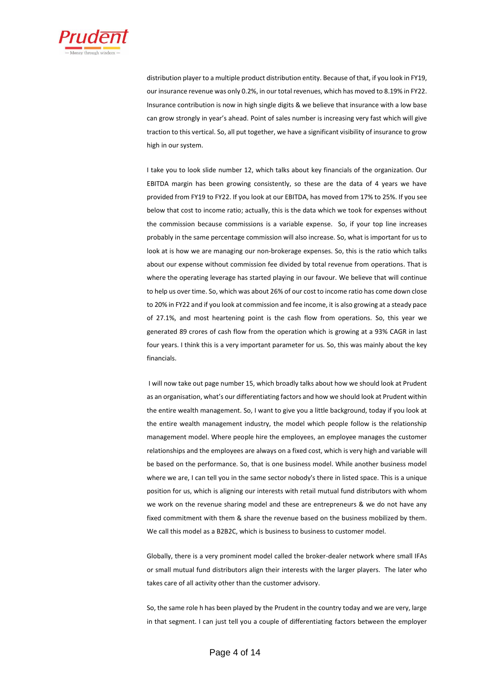

distribution player to a multiple product distribution entity. Because of that, if you look in FY19, our insurance revenue was only 0.2%, in our total revenues, which has moved to 8.19% in FY22. Insurance contribution is now in high single digits & we believe that insurance with a low base can grow strongly in year's ahead. Point of sales number is increasing very fast which will give traction to this vertical. So, all put together, we have a significant visibility of insurance to grow high in our system.

I take you to look slide number 12, which talks about key financials of the organization. Our EBITDA margin has been growing consistently, so these are the data of 4 years we have provided from FY19 to FY22. If you look at our EBITDA, has moved from 17% to 25%. If you see below that cost to income ratio; actually, this is the data which we took for expenses without the commission because commissions is a variable expense. So, if your top line increases probably in the same percentage commission will also increase. So, what is important for us to look at is how we are managing our non-brokerage expenses. So, this is the ratio which talks about our expense without commission fee divided by total revenue from operations. That is where the operating leverage has started playing in our favour. We believe that will continue to help us over time. So, which was about 26% of our cost to income ratio has come down close to 20% in FY22 and if you look at commission and fee income, it is also growing at a steady pace of 27.1%, and most heartening point is the cash flow from operations. So, this year we generated 89 crores of cash flow from the operation which is growing at a 93% CAGR in last four years. I think this is a very important parameter for us. So, this was mainly about the key financials.

I will now take out page number 15, which broadly talks about how we should look at Prudent as an organisation, what's our differentiating factors and how we should look at Prudent within the entire wealth management. So, I want to give you a little background, today if you look at the entire wealth management industry, the model which people follow is the relationship management model. Where people hire the employees, an employee manages the customer relationships and the employees are always on a fixed cost, which is very high and variable will be based on the performance. So, that is one business model. While another business model where we are, I can tell you in the same sector nobody's there in listed space. This is a unique position for us, which is aligning our interests with retail mutual fund distributors with whom we work on the revenue sharing model and these are entrepreneurs & we do not have any fixed commitment with them & share the revenue based on the business mobilized by them. We call this model as a B2B2C, which is business to business to customer model.

Globally, there is a very prominent model called the broker-dealer network where small IFAs or small mutual fund distributors align their interests with the larger players. The later who takes care of all activity other than the customer advisory.

So, the same role h has been played by the Prudent in the country today and we are very, large in that segment. I can just tell you a couple of differentiating factors between the employer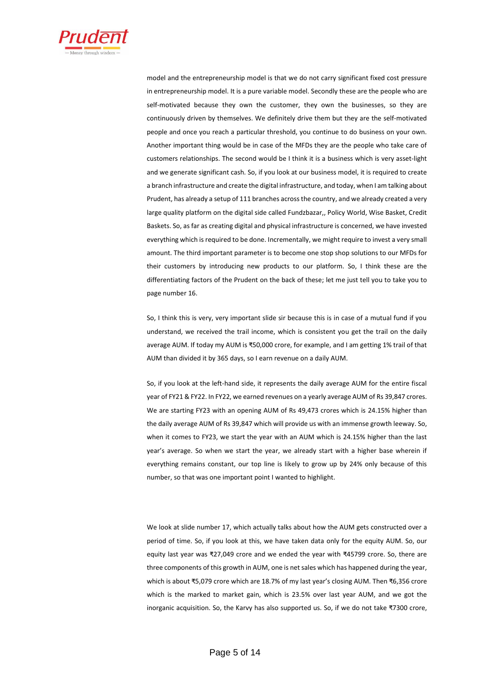

model and the entrepreneurship model is that we do not carry significant fixed cost pressure in entrepreneurship model. It is a pure variable model. Secondly these are the people who are self-motivated because they own the customer, they own the businesses, so they are continuously driven by themselves. We definitely drive them but they are the self-motivated people and once you reach a particular threshold, you continue to do business on your own. Another important thing would be in case of the MFDs they are the people who take care of customers relationships. The second would be I think it is a business which is very asset-light and we generate significant cash. So, if you look at our business model, it is required to create a branch infrastructure and create the digital infrastructure, and today, when I am talking about Prudent, has already a setup of 111 branches across the country, and we already created a very large quality platform on the digital side called Fundzbazar,, Policy World, Wise Basket, Credit Baskets. So, as far as creating digital and physical infrastructure is concerned, we have invested everything which is required to be done. Incrementally, we might require to invest a very small amount. The third important parameter is to become one stop shop solutions to our MFDs for their customers by introducing new products to our platform. So, I think these are the differentiating factors of the Prudent on the back of these; let me just tell you to take you to page number 16.

So, I think this is very, very important slide sir because this is in case of a mutual fund if you understand, we received the trail income, which is consistent you get the trail on the daily average AUM. If today my AUM is ₹50,000 crore, for example, and I am getting 1% trail of that AUM than divided it by 365 days, so I earn revenue on a daily AUM.

So, if you look at the left-hand side, it represents the daily average AUM for the entire fiscal year of FY21 & FY22. In FY22, we earned revenues on a yearly average AUM of Rs 39,847 crores. We are starting FY23 with an opening AUM of Rs 49,473 crores which is 24.15% higher than the daily average AUM of Rs 39,847 which will provide us with an immense growth leeway. So, when it comes to FY23, we start the year with an AUM which is 24.15% higher than the last year's average. So when we start the year, we already start with a higher base wherein if everything remains constant, our top line is likely to grow up by 24% only because of this number, so that was one important point I wanted to highlight.

We look at slide number 17, which actually talks about how the AUM gets constructed over a period of time. So, if you look at this, we have taken data only for the equity AUM. So, our equity last year was ₹27,049 crore and we ended the year with ₹45799 crore. So, there are three components of this growth in AUM, one is net sales which has happened during the year, which is about ₹5,079 crore which are 18.7% of my last year's closing AUM. Then ₹6,356 crore which is the marked to market gain, which is 23.5% over last year AUM, and we got the inorganic acquisition. So, the Karvy has also supported us. So, if we do not take ₹7300 crore,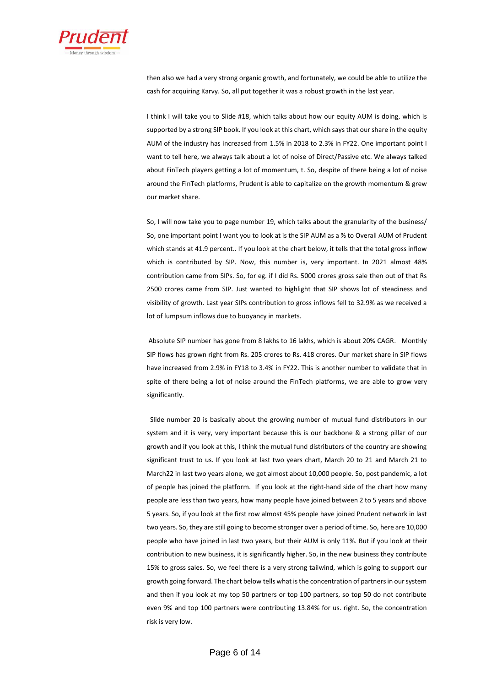

then also we had a very strong organic growth, and fortunately, we could be able to utilize the cash for acquiring Karvy. So, all put together it was a robust growth in the last year.

I think I will take you to Slide #18, which talks about how our equity AUM is doing, which is supported by a strong SIP book. If you look at this chart, which says that our share in the equity AUM of the industry has increased from 1.5% in 2018 to 2.3% in FY22. One important point I want to tell here, we always talk about a lot of noise of Direct/Passive etc. We always talked about FinTech players getting a lot of momentum, t. So, despite of there being a lot of noise around the FinTech platforms, Prudent is able to capitalize on the growth momentum & grew our market share.

So, I will now take you to page number 19, which talks about the granularity of the business/ So, one important point I want you to look at is the SIP AUM as a % to Overall AUM of Prudent which stands at 41.9 percent.. If you look at the chart below, it tells that the total gross inflow which is contributed by SIP. Now, this number is, very important. In 2021 almost 48% contribution came from SIPs. So, for eg. if I did Rs. 5000 crores gross sale then out of that Rs 2500 crores came from SIP. Just wanted to highlight that SIP shows lot of steadiness and visibility of growth. Last year SIPs contribution to gross inflows fell to 32.9% as we received a lot of lumpsum inflows due to buoyancy in markets.

Absolute SIP number has gone from 8 lakhs to 16 lakhs, which is about 20% CAGR. Monthly SIP flows has grown right from Rs. 205 crores to Rs. 418 crores. Our market share in SIP flows have increased from 2.9% in FY18 to 3.4% in FY22. This is another number to validate that in spite of there being a lot of noise around the FinTech platforms, we are able to grow very significantly.

Slide number 20 is basically about the growing number of mutual fund distributors in our system and it is very, very important because this is our backbone & a strong pillar of our growth and if you look at this, I think the mutual fund distributors of the country are showing significant trust to us. If you look at last two years chart, March 20 to 21 and March 21 to March22 in last two years alone, we got almost about 10,000 people. So, post pandemic, a lot of people has joined the platform. If you look at the right-hand side of the chart how many people are less than two years, how many people have joined between 2 to 5 years and above 5 years. So, if you look at the first row almost 45% people have joined Prudent network in last two years. So, they are still going to become stronger over a period of time. So, here are 10,000 people who have joined in last two years, but their AUM is only 11%. But if you look at their contribution to new business, it is significantly higher. So, in the new business they contribute 15% to gross sales. So, we feel there is a very strong tailwind, which is going to support our growth going forward. The chart below tells what is the concentration of partners in our system and then if you look at my top 50 partners or top 100 partners, so top 50 do not contribute even 9% and top 100 partners were contributing 13.84% for us. right. So, the concentration risk is very low.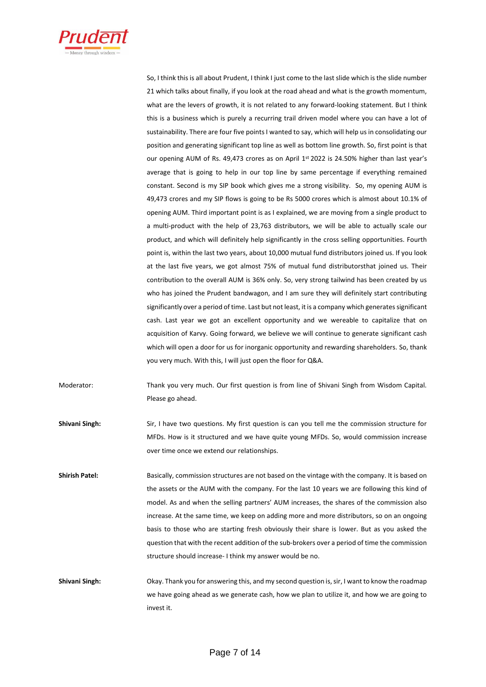

So, I think this is all about Prudent, I think I just come to the last slide which is the slide number 21 which talks about finally, if you look at the road ahead and what is the growth momentum, what are the levers of growth, it is not related to any forward-looking statement. But I think this is a business which is purely a recurring trail driven model where you can have a lot of sustainability. There are four five points I wanted to say, which will help us in consolidating our position and generating significant top line as well as bottom line growth. So, first point is that our opening AUM of Rs. 49,473 crores as on April 1st 2022 is 24.50% higher than last year's average that is going to help in our top line by same percentage if everything remained constant. Second is my SIP book which gives me a strong visibility. So, my opening AUM is 49,473 crores and my SIP flows is going to be Rs 5000 crores which is almost about 10.1% of opening AUM. Third important point is as I explained, we are moving from a single product to a multi-product with the help of 23,763 distributors, we will be able to actually scale our product, and which will definitely help significantly in the cross selling opportunities. Fourth point is, within the last two years, about 10,000 mutual fund distributors joined us. If you look at the last five years, we got almost 75% of mutual fund distributorsthat joined us. Their contribution to the overall AUM is 36% only. So, very strong tailwind has been created by us who has joined the Prudent bandwagon, and I am sure they will definitely start contributing significantly over a period of time. Last but not least, it is a company which generates significant cash. Last year we got an excellent opportunity and we wereable to capitalize that on acquisition of Karvy. Going forward, we believe we will continue to generate significant cash which will open a door for us for inorganic opportunity and rewarding shareholders. So, thank you very much. With this, I will just open the floor for Q&A.

Moderator: Thank you very much. Our first question is from line of Shivani Singh from Wisdom Capital. Please go ahead.

**Shivani Singh:** Sir, I have two questions. My first question is can you tell me the commission structure for MFDs. How is it structured and we have quite young MFDs. So, would commission increase over time once we extend our relationships.

**Shirish Patel:** Basically, commission structures are not based on the vintage with the company. It is based on the assets or the AUM with the company. For the last 10 years we are following this kind of model. As and when the selling partners' AUM increases, the shares of the commission also increase. At the same time, we keep on adding more and more distributors, so on an ongoing basis to those who are starting fresh obviously their share is lower. But as you asked the question that with the recent addition of the sub-brokers over a period of time the commission structure should increase- I think my answer would be no.

**Shivani Singh:** Okay. Thank you for answering this, and my second question is, sir, I want to know the roadmap we have going ahead as we generate cash, how we plan to utilize it, and how we are going to invest it.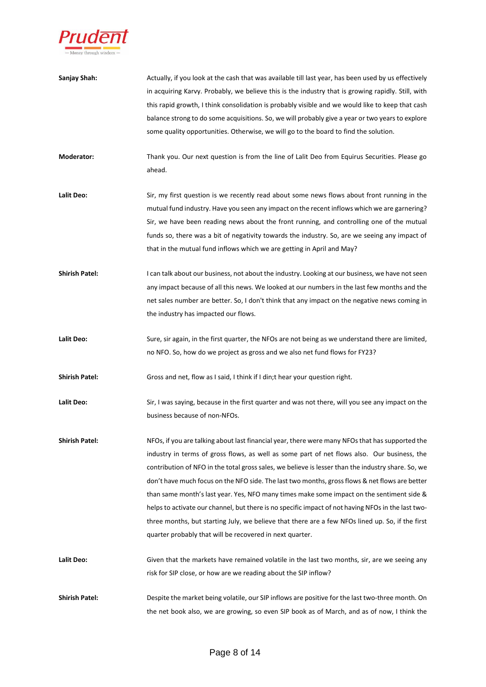

| Sanjay Shah:          | Actually, if you look at the cash that was available till last year, has been used by us effectively |
|-----------------------|------------------------------------------------------------------------------------------------------|
|                       | in acquiring Karvy. Probably, we believe this is the industry that is growing rapidly. Still, with   |
|                       | this rapid growth, I think consolidation is probably visible and we would like to keep that cash     |
|                       | balance strong to do some acquisitions. So, we will probably give a year or two years to explore     |
|                       | some quality opportunities. Otherwise, we will go to the board to find the solution.                 |
| Moderator:            | Thank you. Our next question is from the line of Lalit Deo from Equirus Securities. Please go        |
|                       | ahead.                                                                                               |
| Lalit Deo:            | Sir, my first question is we recently read about some news flows about front running in the          |
|                       | mutual fund industry. Have you seen any impact on the recent inflows which we are garnering?         |
|                       | Sir, we have been reading news about the front running, and controlling one of the mutual            |
|                       | funds so, there was a bit of negativity towards the industry. So, are we seeing any impact of        |
|                       | that in the mutual fund inflows which we are getting in April and May?                               |
| <b>Shirish Patel:</b> | I can talk about our business, not about the industry. Looking at our business, we have not seen     |
|                       | any impact because of all this news. We looked at our numbers in the last few months and the         |
|                       | net sales number are better. So, I don't think that any impact on the negative news coming in        |
|                       | the industry has impacted our flows.                                                                 |
| Lalit Deo:            | Sure, sir again, in the first quarter, the NFOs are not being as we understand there are limited,    |
|                       | no NFO. So, how do we project as gross and we also net fund flows for FY23?                          |
| <b>Shirish Patel:</b> | Gross and net, flow as I said, I think if I din;t hear your question right.                          |
| Lalit Deo:            | Sir, I was saying, because in the first quarter and was not there, will you see any impact on the    |
|                       | business because of non-NFOs.                                                                        |
| <b>Shirish Patel:</b> | NFOs, if you are talking about last financial year, there were many NFOs that has supported the      |
|                       | industry in terms of gross flows, as well as some part of net flows also. Our business, the          |
|                       | contribution of NFO in the total gross sales, we believe is lesser than the industry share. So, we   |
|                       | don't have much focus on the NFO side. The last two months, gross flows & net flows are better       |
|                       | than same month's last year. Yes, NFO many times make some impact on the sentiment side &            |
|                       | helps to activate our channel, but there is no specific impact of not having NFOs in the last two-   |
|                       | three months, but starting July, we believe that there are a few NFOs lined up. So, if the first     |
|                       | quarter probably that will be recovered in next quarter.                                             |
| Lalit Deo:            | Given that the markets have remained volatile in the last two months, sir, are we seeing any         |
|                       | risk for SIP close, or how are we reading about the SIP inflow?                                      |
| <b>Shirish Patel:</b> | Despite the market being volatile, our SIP inflows are positive for the last two-three month. On     |
|                       | the net book also, we are growing, so even SIP book as of March, and as of now, I think the          |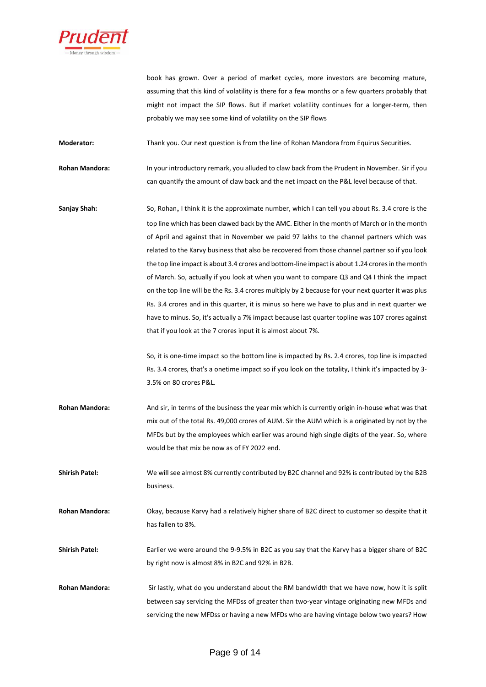

book has grown. Over a period of market cycles, more investors are becoming mature, assuming that this kind of volatility is there for a few months or a few quarters probably that might not impact the SIP flows. But if market volatility continues for a longer-term, then probably we may see some kind of volatility on the SIP flows

**Moderator:** Thank you. Our next question is from the line of Rohan Mandora from Equirus Securities.

**Rohan Mandora:** In your introductory remark, you alluded to claw back from the Prudent in November. Sir if you can quantify the amount of claw back and the net impact on the P&L level because of that.

**Sanjay Shah:** So, Rohan, I think it is the approximate number, which I can tell you about Rs. 3.4 crore is the top line which has been clawed back by the AMC. Either in the month of March or in the month of April and against that in November we paid 97 lakhs to the channel partners which was related to the Karvy business that also be recovered from those channel partner so if you look the top line impact is about 3.4 crores and bottom-line impact is about 1.24 crores in the month of March. So, actually if you look at when you want to compare Q3 and Q4 I think the impact on the top line will be the Rs. 3.4 crores multiply by 2 because for your next quarter it was plus Rs. 3.4 crores and in this quarter, it is minus so here we have to plus and in next quarter we have to minus. So, it's actually a 7% impact because last quarter topline was 107 crores against that if you look at the 7 crores input it is almost about 7%.

> So, it is one-time impact so the bottom line is impacted by Rs. 2.4 crores, top line is impacted Rs. 3.4 crores, that's a onetime impact so if you look on the totality, I think it's impacted by 3- 3.5% on 80 crores P&L.

**Rohan Mandora:** And sir, in terms of the business the year mix which is currently origin in-house what was that mix out of the total Rs. 49,000 crores of AUM. Sir the AUM which is a originated by not by the MFDs but by the employees which earlier was around high single digits of the year. So, where would be that mix be now as of FY 2022 end.

**Shirish Patel:** We will see almost 8% currently contributed by B2C channel and 92% is contributed by the B2B business.

**Rohan Mandora:** Okay, because Karvy had a relatively higher share of B2C direct to customer so despite that it has fallen to 8%.

**Shirish Patel:** Earlier we were around the 9-9.5% in B2C as you say that the Karvy has a bigger share of B2C by right now is almost 8% in B2C and 92% in B2B.

**Rohan Mandora:** Sir lastly, what do you understand about the RM bandwidth that we have now, how it is split between say servicing the MFDss of greater than two-year vintage originating new MFDs and servicing the new MFDss or having a new MFDs who are having vintage below two years? How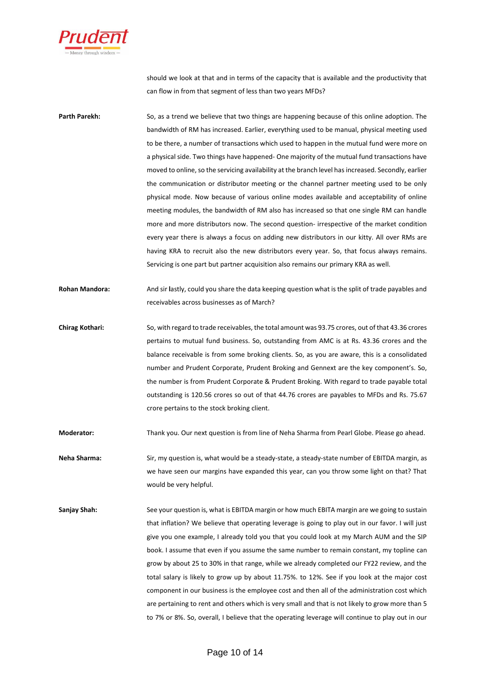

should we look at that and in terms of the capacity that is available and the productivity that can flow in from that segment of less than two years MFDs?

- **Parth Parekh:** So, as a trend we believe that two things are happening because of this online adoption. The bandwidth of RM has increased. Earlier, everything used to be manual, physical meeting used to be there, a number of transactions which used to happen in the mutual fund were more on a physical side. Two things have happened- One majority of the mutual fund transactions have moved to online, so the servicing availability at the branch level has increased. Secondly, earlier the communication or distributor meeting or the channel partner meeting used to be only physical mode. Now because of various online modes available and acceptability of online meeting modules, the bandwidth of RM also has increased so that one single RM can handle more and more distributors now. The second question- irrespective of the market condition every year there is always a focus on adding new distributors in our kitty. All over RMs are having KRA to recruit also the new distributors every year. So, that focus always remains. Servicing is one part but partner acquisition also remains our primary KRA as well.
- **Rohan Mandora:** And sir **l**astly, could you share the data keeping question what is the split of trade payables and receivables across businesses as of March?
- **Chirag Kothari:** So, with regard to trade receivables, the total amount was 93.75 crores, out of that 43.36 crores pertains to mutual fund business. So, outstanding from AMC is at Rs. 43.36 crores and the balance receivable is from some broking clients. So, as you are aware, this is a consolidated number and Prudent Corporate, Prudent Broking and Gennext are the key component's. So, the number is from Prudent Corporate & Prudent Broking. With regard to trade payable total outstanding is 120.56 crores so out of that 44.76 crores are payables to MFDs and Rs. 75.67 crore pertains to the stock broking client.

**Moderator:** Thank you. Our next question is from line of Neha Sharma from Pearl Globe. Please go ahead.

- **Neha Sharma:** Sir, my question is, what would be a steady-state, a steady-state number of EBITDA margin, as we have seen our margins have expanded this year, can you throw some light on that? That would be very helpful.
- Sanjay Shah: See your question is, what is EBITDA margin or how much EBITA margin are we going to sustain that inflation? We believe that operating leverage is going to play out in our favor. I will just give you one example, I already told you that you could look at my March AUM and the SIP book. I assume that even if you assume the same number to remain constant, my topline can grow by about 25 to 30% in that range, while we already completed our FY22 review, and the total salary is likely to grow up by about 11.75%. to 12%. See if you look at the major cost component in our business is the employee cost and then all of the administration cost which are pertaining to rent and others which is very small and that is not likely to grow more than 5 to 7% or 8%. So, overall, I believe that the operating leverage will continue to play out in our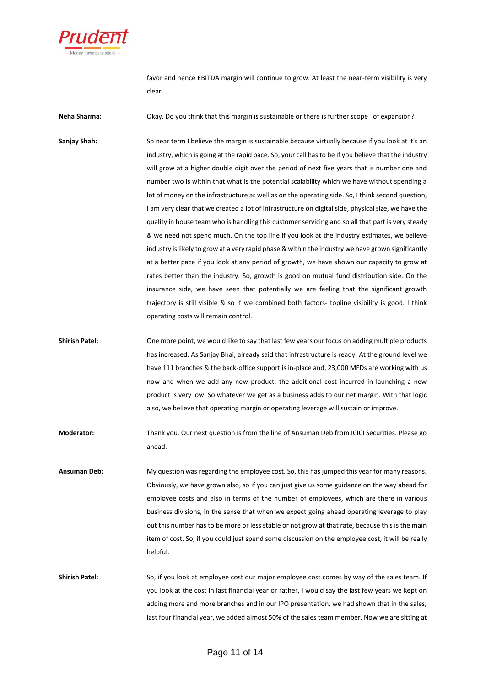

favor and hence EBITDA margin will continue to grow. At least the near-term visibility is very clear.

**Neha Sharma:** Okay. Do you think that this margin is sustainable or there is further scope of expansion?

Sanjay Shah: So near term I believe the margin is sustainable because virtually because if you look at it's an industry, which is going at the rapid pace. So, your call has to be if you believe that the industry will grow at a higher double digit over the period of next five years that is number one and number two is within that what is the potential scalability which we have without spending a lot of money on the infrastructure as well as on the operating side. So, I think second question, I am very clear that we created a lot of infrastructure on digital side, physical size, we have the quality in house team who is handling this customer servicing and so all that part is very steady & we need not spend much. On the top line if you look at the industry estimates, we believe industry is likely to grow at a very rapid phase & within the industry we have grown significantly at a better pace if you look at any period of growth, we have shown our capacity to grow at rates better than the industry. So, growth is good on mutual fund distribution side. On the insurance side, we have seen that potentially we are feeling that the significant growth trajectory is still visible & so if we combined both factors- topline visibility is good. I think operating costs will remain control.

**Shirish Patel:** One more point, we would like to say that last few years our focus on adding multiple products has increased. As Sanjay Bhai, already said that infrastructure is ready. At the ground level we have 111 branches & the back-office support is in-place and, 23,000 MFDs are working with us now and when we add any new product, the additional cost incurred in launching a new product is very low. So whatever we get as a business adds to our net margin. With that logic also, we believe that operating margin or operating leverage will sustain or improve.

**Moderator:** Thank you. Our next question is from the line of Ansuman Deb from ICICI Securities. Please go ahead.

**Ansuman Deb:** My question was regarding the employee cost. So, this has jumped this year for many reasons. Obviously, we have grown also, so if you can just give us some guidance on the way ahead for employee costs and also in terms of the number of employees, which are there in various business divisions, in the sense that when we expect going ahead operating leverage to play out this number has to be more or less stable or not grow at that rate, because this is the main item of cost. So, if you could just spend some discussion on the employee cost, it will be really helpful.

**Shirish Patel:** So, if you look at employee cost our major employee cost comes by way of the sales team. If you look at the cost in last financial year or rather, I would say the last few years we kept on adding more and more branches and in our IPO presentation, we had shown that in the sales, last four financial year, we added almost 50% of the sales team member. Now we are sitting at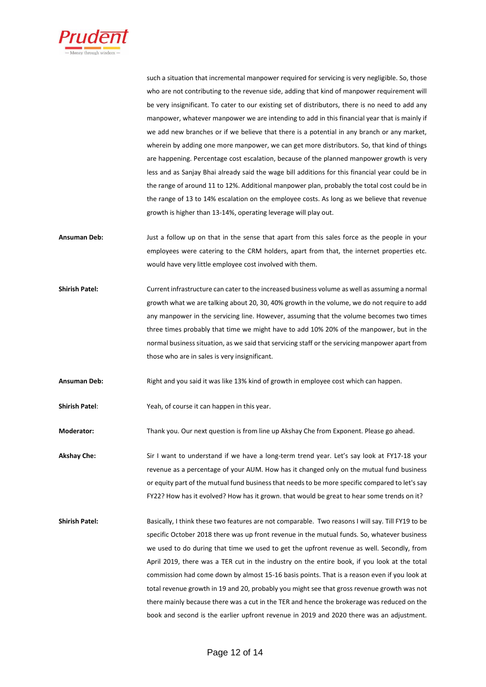

such a situation that incremental manpower required for servicing is very negligible. So, those who are not contributing to the revenue side, adding that kind of manpower requirement will be very insignificant. To cater to our existing set of distributors, there is no need to add any manpower, whatever manpower we are intending to add in this financial year that is mainly if we add new branches or if we believe that there is a potential in any branch or any market, wherein by adding one more manpower, we can get more distributors. So, that kind of things are happening. Percentage cost escalation, because of the planned manpower growth is very less and as Sanjay Bhai already said the wage bill additions for this financial year could be in the range of around 11 to 12%. Additional manpower plan, probably the total cost could be in the range of 13 to 14% escalation on the employee costs. As long as we believe that revenue growth is higher than 13-14%, operating leverage will play out.

- **Ansuman Deb:** Just a follow up on that in the sense that apart from this sales force as the people in your employees were catering to the CRM holders, apart from that, the internet properties etc. would have very little employee cost involved with them.
- **Shirish Patel:** Current infrastructure can cater to the increased business volume as well as assuming a normal growth what we are talking about 20, 30, 40% growth in the volume, we do not require to add any manpower in the servicing line. However, assuming that the volume becomes two times three times probably that time we might have to add 10% 20% of the manpower, but in the normal business situation, as we said that servicing staff or the servicing manpower apart from those who are in sales is very insignificant.

**Ansuman Deb:** Right and you said it was like 13% kind of growth in employee cost which can happen.

**Shirish Patel**: Yeah, of course it can happen in this year.

**Moderator:** Thank you. Our next question is from line up Akshay Che from Exponent. Please go ahead.

**Akshay Che:** Sir I want to understand if we have a long-term trend year. Let's say look at FY17-18 your revenue as a percentage of your AUM. How has it changed only on the mutual fund business or equity part of the mutual fund business that needs to be more specific compared to let's say FY22? How has it evolved? How has it grown. that would be great to hear some trends on it?

**Shirish Patel:** Basically, I think these two features are not comparable. Two reasons I will say. Till FY19 to be specific October 2018 there was up front revenue in the mutual funds. So, whatever business we used to do during that time we used to get the upfront revenue as well. Secondly, from April 2019, there was a TER cut in the industry on the entire book, if you look at the total commission had come down by almost 15-16 basis points. That is a reason even if you look at total revenue growth in 19 and 20, probably you might see that gross revenue growth was not there mainly because there was a cut in the TER and hence the brokerage was reduced on the book and second is the earlier upfront revenue in 2019 and 2020 there was an adjustment.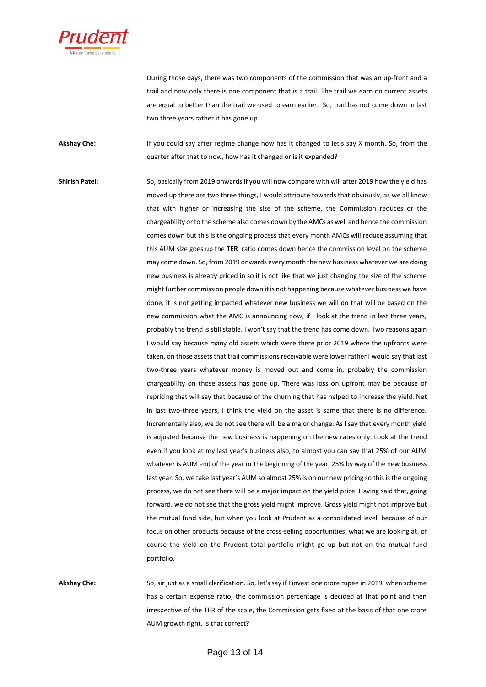

During those days, there was two components of the commission that was an up-front and a trail and now only there is one component that is a trail. The trail we earn on current assets are equal to better than the trail we used to earn earlier. So, trail has not come down in last two three years rather it has gone up.

**Akshay Che: I**f you could say after regime change how has it changed to let's say X month. So, from the quarter after that to now, how has it changed or is it expanded?

**Shirish Patel:** So, basically from 2019 onwards if you will now compare with will after 2019 how the yield has moved up there are two three things, I would attribute towards that obviously, as we all know that with higher or increasing the size of the scheme, the Commission reduces or the chargeability or to the scheme also comes down by the AMCs as well and hence the commission comes down but this is the ongoing process that every month AMCs will reduce assuming that this AUM size goes up the **TER** ratio comes down hence the commission level on the scheme may come down. So, from 2019 onwards every month the new business whatever we are doing new business is already priced in so it is not like that we just changing the size of the scheme might further commission people down it is not happening because whatever business we have done, it is not getting impacted whatever new business we will do that will be based on the new commission what the AMC is announcing now, if I look at the trend in last three years, probably the trend is still stable. I won't say that the trend has come down. Two reasons again I would say because many old assets which were there prior 2019 where the upfronts were taken, on those assets that trail commissions receivable were lower rather I would say that last two-three years whatever money is moved out and come in, probably the commission chargeability on those assets has gone up. There was loss on upfront may be because of repricing that will say that because of the churning that has helped to increase the yield. Net in last two-three years, I think the yield on the asset is same that there is no difference. Incrementally also, we do not see there will be a major change. As I say that every month yield is adjusted because the new business is happening on the new rates only. Look at the trend even if you look at my last year's business also, to almost you can say that 25% of our AUM whatever is AUM end of the year or the beginning of the year, 25% by way of the new business last year. So, we take last year's AUM so almost 25% is on our new pricing so this is the ongoing process, we do not see there will be a major impact on the yield price. Having said that, going forward, we do not see that the gross yield might improve. Gross yield might not improve but the mutual fund side, but when you look at Prudent as a consolidated level, because of our focus on other products because of the cross-selling opportunities, what we are looking at, of course the yield on the Prudent total portfolio might go up but not on the mutual fund portfolio.

**Akshay Che:** So, sir just as a small clarification. So, let's say if I invest one crore rupee in 2019, when scheme has a certain expense ratio, the commission percentage is decided at that point and then irrespective of the TER of the scale, the Commission gets fixed at the basis of that one crore AUM growth right. Is that correct?